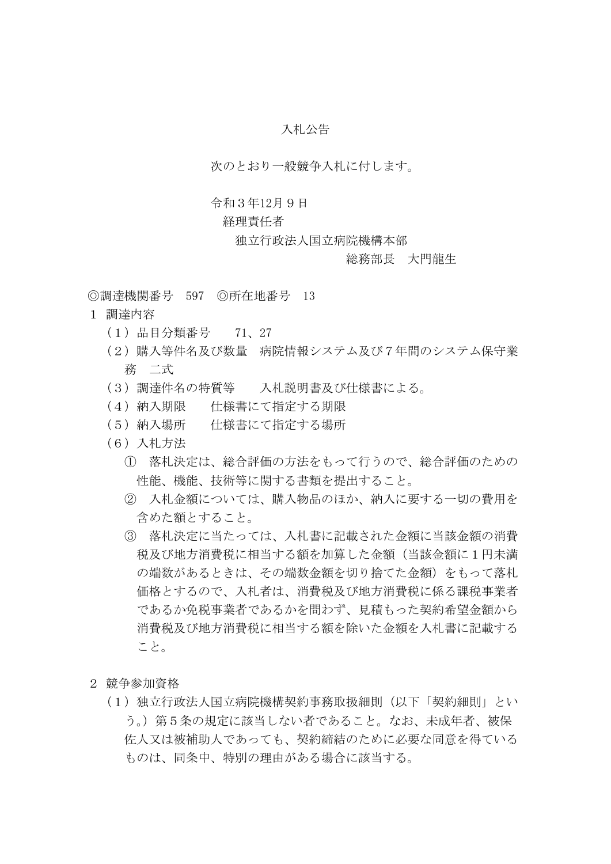# 入札公告

次のとおり一般競争入札に付します。

### 令和3年12月9日

## 経理責任者

### 独立行政法人国立病院機構本部

### 総務部長 大門龍生

◎調達機関番号 597 ◎所在地番号 13

- 1 調達内容
	- (1)品目分類番号 71、27
	- (2)購入等件名及び数量 病院情報システム及び7年間のシステム保守業 務 二式
	- (3)調達件名の特質等 入札説明書及び仕様書による。
	- (4) 納入期限 仕様書にて指定する期限
	- (5)納入場所 仕様書にて指定する場所
	- (6)入札方法
		- ① 落札決定は、総合評価の方法をもって行うので、総合評価のための 性能、機能、技術等に関する書類を提出すること。
		- ② 入札金額については、購入物品のほか、納入に要する一切の費用を 含めた額とすること。
		- ③ 落札決定に当たっては、入札書に記載された金額に当該金額の消費 税及び地方消費税に相当する額を加算した金額(当該金額に1円未満 の端数があるときは、その端数金額を切り捨てた金額)をもって落札 価格とするので、入札者は、消費税及び地方消費税に係る課税事業者 であるか免税事業者であるかを問わず、見積もった契約希望金額から 消費税及び地方消費税に相当する額を除いた金額を入札書に記載する こと。
- 2 競争参加資格
	- (1)独立行政法人国立病院機構契約事務取扱細則(以下「契約細則」とい う。)第5条の規定に該当しない者であること。なお、未成年者、被保 佐人又は被補助人であっても、契約締結のために必要な同意を得ている ものは、同条中、特別の理由がある場合に該当する。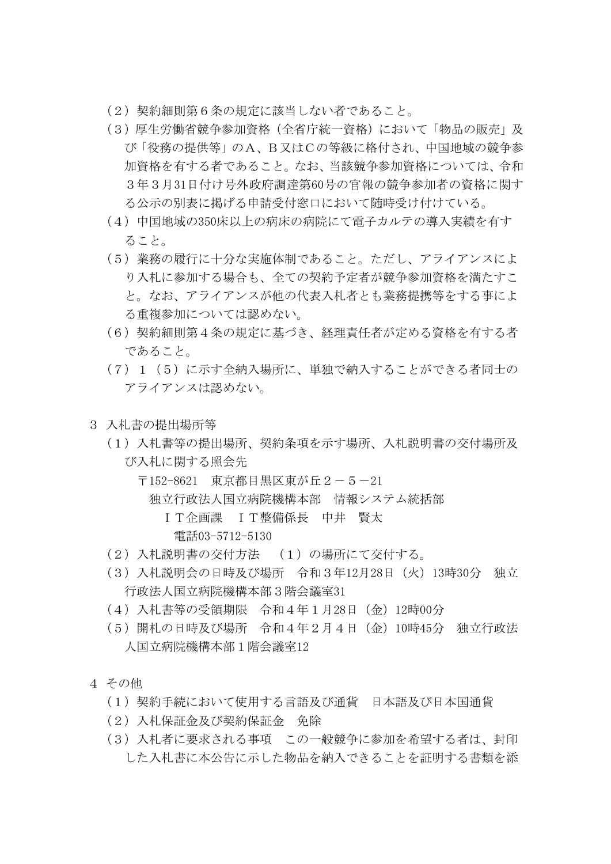- (2)契約細則第6条の規定に該当しない者であること。
- (3)厚生労働省競争参加資格(全省庁統一資格)において「物品の販売」及 び「役務の提供等」のA、B又はCの等級に格付され、中国地域の競争参 加資格を有する者であること。なお、当該競争参加資格については、令和 3年3月31日付け号外政府調達第60号の官報の競争参加者の資格に関す る公示の別表に掲げる申請受付窓口において随時受け付けている。
- (4)中国地域の350床以上の病床の病院にて電子カルテの導入実績を有す ること。
- (5)業務の履行に十分な実施体制であること。ただし、アライアンスによ り入札に参加する場合も、全ての契約予定者が競争参加資格を満たすこ と。なお、アライアンスが他の代表入札者とも業務提携等をする事によ る重複参加については認めない。
- (6)契約細則第4条の規定に基づき、経理責任者が定める資格を有する者 であること。
- (7)1(5)に示す全納入場所に、単独で納入することができる者同士の アライアンスは認めない。
- 3 入札書の提出場所等
	- (1)入札書等の提出場所、契約条項を示す場所、入札説明書の交付場所及 び入札に関する照会先
		- 〒152-8621 東京都目黒区東が丘2-5-21
			- 独立行政法人国立病院機構本部 情報システム統括部
				- IT企画課 IT整備係長 中井 賢太 電話03-5712-5130
	- (2)入札説明書の交付方法 (1)の場所にて交付する。
	- (3)入札説明会の日時及び場所 令和3年12月28日(火)13時30分 独立 行政法人国立病院機構本部3階会議室31
	- (4)入札書等の受領期限 令和4年1月28日(金)12時00分
	- (5)開札の日時及び場所 令和4年2月4日(金)10時45分 独立行政法 人国立病院機構本部1階会議室12
- 4 その他
	- (1)契約手続において使用する言語及び通貨 日本語及び日本国通貨
	- (2)入札保証金及び契約保証金 免除
	- (3)入札者に要求される事項 この一般競争に参加を希望する者は、封印 した入札書に本公告に示した物品を納入できることを証明する書類を添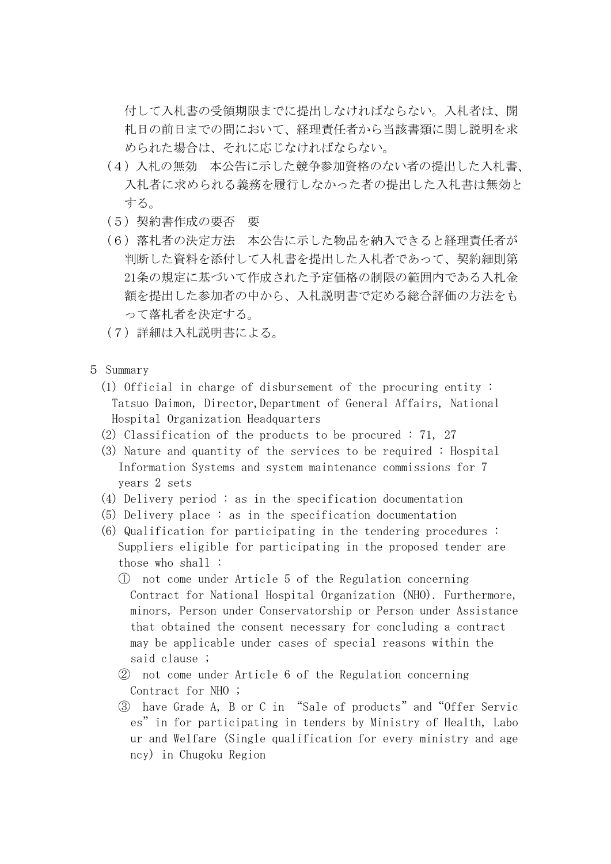付して入札書の受領期限までに提出しなければならない。入札者は、開 札日の前日までの間において、経理責任者から当該書類に関し説明を求 められた場合は、それに応じなければならない。

- (4)入札の無効 本公告に示した競争参加資格のない者の提出した入札書、 入札者に求められる義務を履行しなかった者の提出した入札書は無効と する。
- (5)契約書作成の要否 要
- (6)落札者の決定方法 本公告に示した物品を納入できると経理責任者が 判断した資料を添付して入札書を提出した入札者であって、契約細則第 21条の規定に基づいて作成された予定価格の制限の範囲内である入札金 額を提出した参加者の中から、入札説明書で定める総合評価の方法をも って落札者を決定する。
- (7)詳細は入札説明書による。
- 5 Summary
	- (1) Official in charge of disbursement of the procuring entity : Tatsuo Daimon, Director,Department of General Affairs, National Hospital Organization Headquarters
	- (2) Classification of the products to be procured : 71, 27
	- (3) Nature and quantity of the services to be required : Hospital Information Systems and system maintenance commissions for 7 years 2 sets
	- (4) Delivery period : as in the specification documentation
	- (5) Delivery place : as in the specification documentation
	- (6) Qualification for participating in the tendering procedures : Suppliers eligible for participating in the proposed tender are those who shall :
		- ① not come under Article 5 of the Regulation concerning Contract for National Hospital Organization (NHO). Furthermore, minors, Person under Conservatorship or Person under Assistance that obtained the consent necessary for concluding a contract may be applicable under cases of special reasons within the said clause ;
		- ② not come under Article 6 of the Regulation concerning Contract for NHO ;
		- ③ have Grade A, B or C in "Sale of products"and"Offer Servic es"in for participating in tenders by Ministry of Health, Labo ur and Welfare (Single qualification for every ministry and age ncy) in Chugoku Region